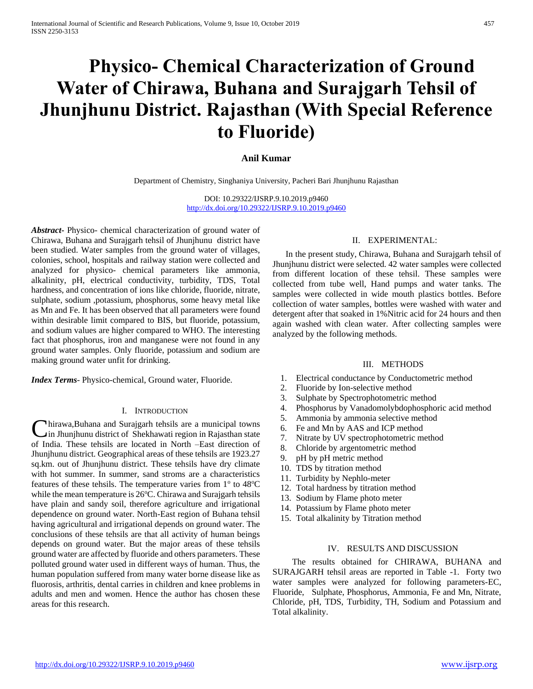# **Physico- Chemical Characterization of Ground Water of Chirawa, Buhana and Surajgarh Tehsil of Jhunjhunu District. Rajasthan (With Special Reference to Fluoride)**

## **Anil Kumar**

Department of Chemistry, Singhaniya University, Pacheri Bari Jhunjhunu Rajasthan

DOI: 10.29322/IJSRP.9.10.2019.p9460 <http://dx.doi.org/10.29322/IJSRP.9.10.2019.p9460>

*Abstract***-** Physico- chemical characterization of ground water of Chirawa, Buhana and Surajgarh tehsil of Jhunjhunu district have been studied. Water samples from the ground water of villages, colonies, school, hospitals and railway station were collected and analyzed for physico- chemical parameters like ammonia, alkalinity, pH, electrical conductivity, turbidity, TDS, Total hardness, and concentration of ions like chloride, fluoride, nitrate, sulphate, sodium ,potassium, phosphorus, some heavy metal like as Mn and Fe. It has been observed that all parameters were found within desirable limit compared to BIS, but fluoride, potassium, and sodium values are higher compared to WHO. The interesting fact that phosphorus, iron and manganese were not found in any ground water samples. Only fluoride, potassium and sodium are making ground water unfit for drinking.

*Index Terms*- Physico-chemical, Ground water, Fluoride.

#### I. INTRODUCTION

hirawa,Buhana and Surajgarh tehsils are a municipal towns Chirawa, Buhana and Surajgarh tehsils are a municipal towns<br>
Cin Jhunjhunu district of Shekhawati region in Rajasthan state of India. These tehsils are located in North –East direction of Jhunjhunu district. Geographical areas of these tehsils are 1923.27 sq.km. out of Jhunjhunu district. These tehsils have dry climate with hot summer. In summer, sand stroms are a characteristics features of these tehsils. The temperature varies from  $1^\circ$  to  $48^\circ$ C while the mean temperature is  $26^{\circ}$ C. Chirawa and Surajgarh tehsils have plain and sandy soil, therefore agriculture and irrigational dependence on ground water. North-East region of Buhana tehsil having agricultural and irrigational depends on ground water. The conclusions of these tehsils are that all activity of human beings depends on ground water. But the major areas of these tehsils ground water are affected by fluoride and others parameters. These polluted ground water used in different ways of human. Thus, the human population suffered from many water borne disease like as fluorosis, arthritis, dental carries in children and knee problems in adults and men and women. Hence the author has chosen these areas for this research.

## II. EXPERIMENTAL:

In the present study, Chirawa, Buhana and Surajgarh tehsil of Jhunjhunu district were selected. 42 water samples were collected from different location of these tehsil. These samples were collected from tube well, Hand pumps and water tanks. The samples were collected in wide mouth plastics bottles. Before collection of water samples, bottles were washed with water and detergent after that soaked in 1%Nitric acid for 24 hours and then again washed with clean water. After collecting samples were analyzed by the following methods.

#### III. METHODS

- 1. Electrical conductance by Conductometric method
- 2. Fluoride by Ion-selective method
- 3. Sulphate by Spectrophotometric method
- 4. Phosphorus by Vanadomolybdophosphoric acid method
- 5. Ammonia by ammonia selective method
- 6. Fe and Mn by AAS and ICP method
- 7. Nitrate by UV spectrophotometric method
- 8. Chloride by argentometric method
- 9. pH by pH metric method
- 10. TDS by titration method
- 11. Turbidity by Nephlo-meter
- 12. Total hardness by titration method
- 13. Sodium by Flame photo meter
- 14. Potassium by Flame photo meter
- 15. Total alkalinity by Titration method

#### IV. RESULTS AND DISCUSSION

 The results obtained for CHIRAWA, BUHANA and SURAJGARH tehsil areas are reported in Table -1. Forty two water samples were analyzed for following parameters-EC, Fluoride, Sulphate, Phosphorus, Ammonia, Fe and Mn, Nitrate, Chloride, pH, TDS, Turbidity, TH, Sodium and Potassium and Total alkalinity.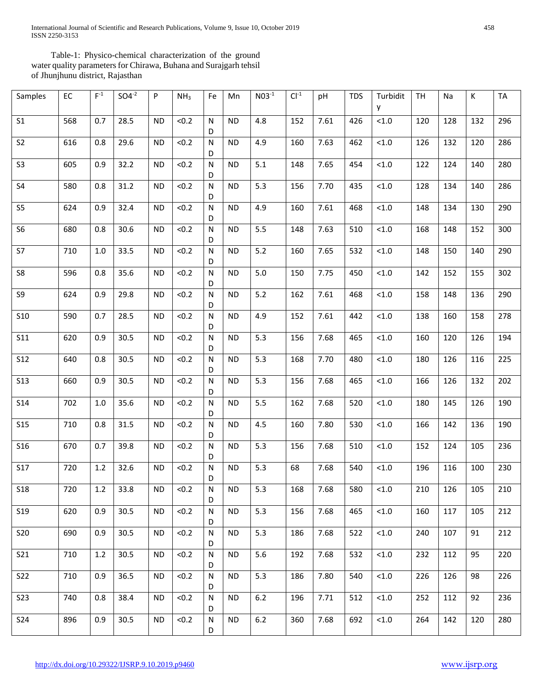International Journal of Scientific and Research Publications, Volume 9, Issue 10, October 2019 458 ISSN 2250-3153

 Table-1: Physico-chemical characterization of the ground water quality parameters for Chirawa, Buhana and Surajgarh tehsil of Jhunjhunu district, Rajasthan

| Samples         | EC  | $F^{-1}$ | $SO4^{-2}$ | P         | NH <sub>3</sub> | Fe                | Mn        | $N03^{-1}$ | $Cl-1$ | pH   | <b>TDS</b> | Turbidit<br>y | <b>TH</b> | Na  | К   | <b>TA</b> |
|-----------------|-----|----------|------------|-----------|-----------------|-------------------|-----------|------------|--------|------|------------|---------------|-----------|-----|-----|-----------|
| S <sub>1</sub>  | 568 | 0.7      | 28.5       | <b>ND</b> | < 0.2           | N<br>D            | <b>ND</b> | 4.8        | 152    | 7.61 | 426        | $<1.0$        | 120       | 128 | 132 | 296       |
| S <sub>2</sub>  | 616 | 0.8      | 29.6       | <b>ND</b> | < 0.2           | N<br>D            | <b>ND</b> | 4.9        | 160    | 7.63 | 462        | < 1.0         | 126       | 132 | 120 | 286       |
| S <sub>3</sub>  | 605 | 0.9      | 32.2       | <b>ND</b> | < 0.2           | N<br>D            | <b>ND</b> | 5.1        | 148    | 7.65 | 454        | < 1.0         | 122       | 124 | 140 | 280       |
| S <sub>4</sub>  | 580 | 0.8      | 31.2       | <b>ND</b> | < 0.2           | N<br>D            | <b>ND</b> | 5.3        | 156    | 7.70 | 435        | $<1.0$        | 128       | 134 | 140 | 286       |
| S <sub>5</sub>  | 624 | 0.9      | 32.4       | <b>ND</b> | < 0.2           | ${\sf N}$<br>D    | <b>ND</b> | 4.9        | 160    | 7.61 | 468        | $<1.0\,$      | 148       | 134 | 130 | 290       |
| S <sub>6</sub>  | 680 | 0.8      | 30.6       | <b>ND</b> | < 0.2           | N<br>D            | <b>ND</b> | 5.5        | 148    | 7.63 | 510        | < 1.0         | 168       | 148 | 152 | 300       |
| S7              | 710 | 1.0      | 33.5       | <b>ND</b> | < 0.2           | ${\sf N}$<br>D    | <b>ND</b> | $5.2$      | 160    | 7.65 | 532        | $<1.0$        | 148       | 150 | 140 | 290       |
| S8              | 596 | 0.8      | 35.6       | <b>ND</b> | < 0.2           | N<br>D            | <b>ND</b> | $5.0\,$    | 150    | 7.75 | 450        | $<1.0$        | 142       | 152 | 155 | 302       |
| S9              | 624 | 0.9      | 29.8       | <b>ND</b> | < 0.2           | N<br>D            | <b>ND</b> | $5.2$      | 162    | 7.61 | 468        | $<1.0\,$      | 158       | 148 | 136 | 290       |
| <b>S10</b>      | 590 | 0.7      | 28.5       | <b>ND</b> | < 0.2           | N<br>D            | <b>ND</b> | 4.9        | 152    | 7.61 | 442        | < 1.0         | 138       | 160 | 158 | 278       |
| <b>S11</b>      | 620 | 0.9      | 30.5       | <b>ND</b> | < 0.2           | N<br>D            | <b>ND</b> | 5.3        | 156    | 7.68 | 465        | < 1.0         | 160       | 120 | 126 | 194       |
| <b>S12</b>      | 640 | 0.8      | 30.5       | <b>ND</b> | < 0.2           | N<br>D            | <b>ND</b> | 5.3        | 168    | 7.70 | 480        | $<1.0$        | 180       | 126 | 116 | 225       |
| <b>S13</b>      | 660 | 0.9      | 30.5       | <b>ND</b> | < 0.2           | N<br>D            | <b>ND</b> | 5.3        | 156    | 7.68 | 465        | $<1.0$        | 166       | 126 | 132 | 202       |
| <b>S14</b>      | 702 | 1.0      | 35.6       | <b>ND</b> | < 0.2           | N<br>D            | <b>ND</b> | 5.5        | 162    | 7.68 | 520        | $<1.0$        | 180       | 145 | 126 | 190       |
| <b>S15</b>      | 710 | 0.8      | 31.5       | <b>ND</b> | < 0.2           | N<br>D            | <b>ND</b> | 4.5        | 160    | 7.80 | 530        | $<1.0$        | 166       | 142 | 136 | 190       |
| <b>S16</b>      | 670 | 0.7      | 39.8       | <b>ND</b> | < 0.2           | N<br>D            | <b>ND</b> | 5.3        | 156    | 7.68 | 510        | < 1.0         | 152       | 124 | 105 | 236       |
| <b>S17</b>      | 720 | 1.2      | 32.6       | <b>ND</b> | < 0.2           | ${\sf N}$<br>D    | <b>ND</b> | 5.3        | 68     | 7.68 | 540        | < 1.0         | 196       | 116 | 100 | 230       |
| <b>S18</b>      | 720 | 1.2      | 33.8       | <b>ND</b> | < 0.2           | ${\sf N}$<br>D    | <b>ND</b> | 5.3        | 168    | 7.68 | 580        | < 1.0         | 210       | 126 | 105 | 210       |
| S <sub>19</sub> | 620 | 0.9      | 30.5       | <b>ND</b> | < 0.2           | ${\sf N}$<br>D    | <b>ND</b> | 5.3        | 156    | 7.68 | 465        | $<1.0$        | 160       | 117 | 105 | 212       |
| <b>S20</b>      | 690 | 0.9      | 30.5       | <b>ND</b> | < 0.2           | N<br>D            | <b>ND</b> | 5.3        | 186    | 7.68 | 522        | $<1.0$        | 240       | 107 | 91  | 212       |
| <b>S21</b>      | 710 | 1.2      | 30.5       | <b>ND</b> | < 0.2           | $\mathsf{N}$<br>D | <b>ND</b> | 5.6        | 192    | 7.68 | 532        | $<1.0$        | 232       | 112 | 95  | 220       |
| <b>S22</b>      | 710 | 0.9      | 36.5       | <b>ND</b> | < 0.2           | $\mathsf{N}$<br>D | <b>ND</b> | 5.3        | 186    | 7.80 | 540        | $<1.0$        | 226       | 126 | 98  | 226       |
| <b>S23</b>      | 740 | 0.8      | 38.4       | <b>ND</b> | < 0.2           | N<br>D            | <b>ND</b> | $6.2$      | 196    | 7.71 | 512        | < 1.0         | 252       | 112 | 92  | 236       |
| <b>S24</b>      | 896 | 0.9      | 30.5       | ND        | < 0.2           | $\mathsf{N}$<br>D | <b>ND</b> | $6.2$      | 360    | 7.68 | 692        | $<1.0$        | 264       | 142 | 120 | 280       |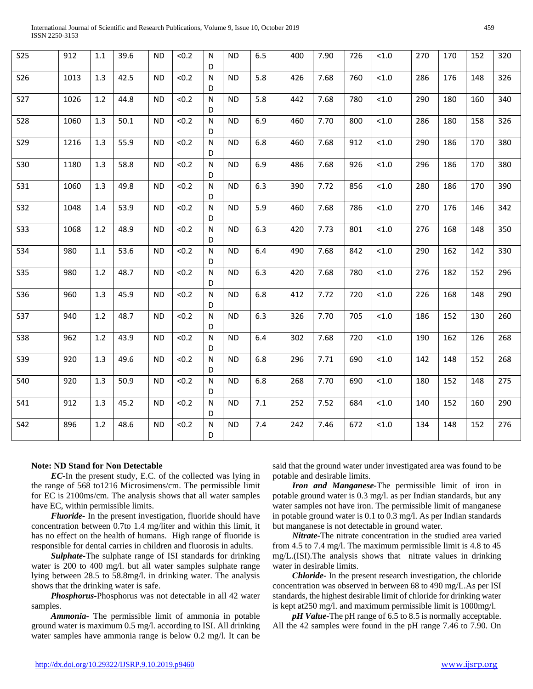| International Journal of Scientific and Research Publications, Volume 9, Issue 10, October 2019 |  |
|-------------------------------------------------------------------------------------------------|--|
| ISSN 2250-3153                                                                                  |  |

| <b>S25</b> | 912  | 1.1 | 39.6 | <b>ND</b> | < 0.2 | N<br>D            | <b>ND</b> | 6.5   | 400 | 7.90 | 726 | < 1.0  | 270 | 170 | 152 | 320 |
|------------|------|-----|------|-----------|-------|-------------------|-----------|-------|-----|------|-----|--------|-----|-----|-----|-----|
| <b>S26</b> | 1013 | 1.3 | 42.5 | <b>ND</b> | < 0.2 | N<br>D            | <b>ND</b> | 5.8   | 426 | 7.68 | 760 | $<1.0$ | 286 | 176 | 148 | 326 |
| <b>S27</b> | 1026 | 1.2 | 44.8 | <b>ND</b> | < 0.2 | N<br>D            | <b>ND</b> | 5.8   | 442 | 7.68 | 780 | < 1.0  | 290 | 180 | 160 | 340 |
| <b>S28</b> | 1060 | 1.3 | 50.1 | ND.       | < 0.2 | N<br>D            | <b>ND</b> | 6.9   | 460 | 7.70 | 800 | $<1.0$ | 286 | 180 | 158 | 326 |
| <b>S29</b> | 1216 | 1.3 | 55.9 | <b>ND</b> | < 0.2 | $\mathsf{N}$<br>D | <b>ND</b> | 6.8   | 460 | 7.68 | 912 | $<1.0$ | 290 | 186 | 170 | 380 |
| <b>S30</b> | 1180 | 1.3 | 58.8 | <b>ND</b> | < 0.2 | N<br>D            | <b>ND</b> | 6.9   | 486 | 7.68 | 926 | < 1.0  | 296 | 186 | 170 | 380 |
| <b>S31</b> | 1060 | 1.3 | 49.8 | <b>ND</b> | < 0.2 | N<br>D            | <b>ND</b> | 6.3   | 390 | 7.72 | 856 | < 1.0  | 280 | 186 | 170 | 390 |
| <b>S32</b> | 1048 | 1.4 | 53.9 | <b>ND</b> | < 0.2 | N<br>D            | <b>ND</b> | 5.9   | 460 | 7.68 | 786 | < 1.0  | 270 | 176 | 146 | 342 |
| <b>S33</b> | 1068 | 1.2 | 48.9 | <b>ND</b> | < 0.2 | N<br>D            | <b>ND</b> | 6.3   | 420 | 7.73 | 801 | $<1.0$ | 276 | 168 | 148 | 350 |
| <b>S34</b> | 980  | 1.1 | 53.6 | <b>ND</b> | < 0.2 | $\mathsf{N}$<br>D | <b>ND</b> | $6.4$ | 490 | 7.68 | 842 | $<1.0$ | 290 | 162 | 142 | 330 |
| <b>S35</b> | 980  | 1.2 | 48.7 | <b>ND</b> | < 0.2 | N<br>D            | <b>ND</b> | 6.3   | 420 | 7.68 | 780 | < 1.0  | 276 | 182 | 152 | 296 |
| <b>S36</b> | 960  | 1.3 | 45.9 | <b>ND</b> | < 0.2 | N<br>D            | <b>ND</b> | 6.8   | 412 | 7.72 | 720 | < 1.0  | 226 | 168 | 148 | 290 |
| <b>S37</b> | 940  | 1.2 | 48.7 | <b>ND</b> | < 0.2 | N<br>D            | <b>ND</b> | 6.3   | 326 | 7.70 | 705 | < 1.0  | 186 | 152 | 130 | 260 |
| <b>S38</b> | 962  | 1.2 | 43.9 | <b>ND</b> | < 0.2 | $\mathsf{N}$<br>D | <b>ND</b> | 6.4   | 302 | 7.68 | 720 | < 1.0  | 190 | 162 | 126 | 268 |
| <b>S39</b> | 920  | 1.3 | 49.6 | <b>ND</b> | < 0.2 | N<br>D            | <b>ND</b> | 6.8   | 296 | 7.71 | 690 | < 1.0  | 142 | 148 | 152 | 268 |
| <b>S40</b> | 920  | 1.3 | 50.9 | ND.       | < 0.2 | N<br>D            | <b>ND</b> | 6.8   | 268 | 7.70 | 690 | $<1.0$ | 180 | 152 | 148 | 275 |
| S41        | 912  | 1.3 | 45.2 | <b>ND</b> | < 0.2 | N<br>D            | <b>ND</b> | 7.1   | 252 | 7.52 | 684 | < 1.0  | 140 | 152 | 160 | 290 |
| S42        | 896  | 1.2 | 48.6 | <b>ND</b> | < 0.2 | N<br>D            | <b>ND</b> | 7.4   | 242 | 7.46 | 672 | $<1.0$ | 134 | 148 | 152 | 276 |
|            |      |     |      |           |       |                   |           |       |     |      |     |        |     |     |     |     |

#### **Note: ND Stand for Non Detectable**

 *EC-*In the present study, E.C. of the collected was lying in the range of 568 to1216 Microsimens/cm. The permissible limit for EC is 2100ms/cm. The analysis shows that all water samples have EC, within permissible limits.

 *Fluoride-* In the present investigation, fluoride should have concentration between 0.7to 1.4 mg/liter and within this limit, it has no effect on the health of humans. High range of fluoride is responsible for dental carries in children and fluorosis in adults.

 *Sulphate-*The sulphate range of ISI standards for drinking water is 200 to 400 mg/l. but all water samples sulphate range lying between 28.5 to 58.8mg/l. in drinking water. The analysis shows that the drinking water is safe.

 *Phosphorus-*Phosphorus was not detectable in all 42 water samples.

 *Ammonia-* The permissible limit of ammonia in potable ground water is maximum 0.5 mg/l. according to ISI. All drinking water samples have ammonia range is below 0.2 mg/l. It can be

said that the ground water under investigated area was found to be potable and desirable limits.

 *Iron and Manganese-*The permissible limit of iron in potable ground water is 0.3 mg/l. as per Indian standards, but any water samples not have iron. The permissible limit of manganese in potable ground water is 0.1 to 0.3 mg/l. As per Indian standards but manganese is not detectable in ground water.

 *Nitrate-*The nitrate concentration in the studied area varied from 4.5 to 7.4 mg/l. The maximum permissible limit is 4.8 to 45 mg/L.(ISI).The analysis shows that nitrate values in drinking water in desirable limits.

 *Chloride-* In the present research investigation, the chloride concentration was observed in between 68 to 490 mg/L.As per ISI standards, the highest desirable limit of chloride for drinking water is kept at250 mg/l. and maximum permissible limit is 1000mg/l.

 *pH Value-*The pH range of 6.5 to 8.5 is normally acceptable. All the 42 samples were found in the pH range 7.46 to 7.90. On